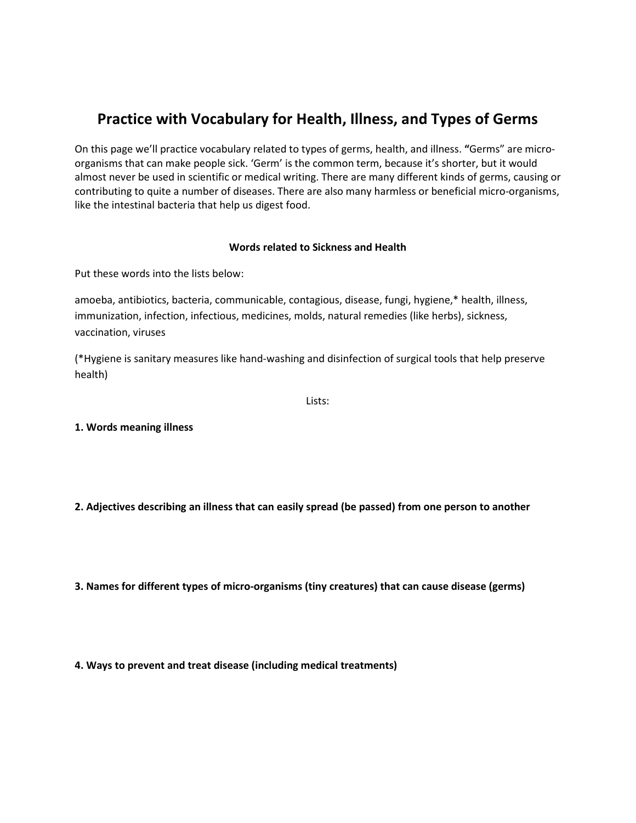# Practice with Vocabulary for Health, Illness, and Types of Germs

On this page we'll practice vocabulary related to types of germs, health, and illness. "Germs" are microorganisms that can make people sick. 'Germ' is the common term, because it's shorter, but it would almost never be used in scientific or medical writing. There are many different kinds of germs, causing or contributing to quite a number of diseases. There are also many harmless or beneficial micro-organisms, like the intestinal bacteria that help us digest food.

#### Words related to Sickness and Health

Put these words into the lists below:

amoeba, antibiotics, bacteria, communicable, contagious, disease, fungi, hygiene,\* health, illness, immunization, infection, infectious, medicines, molds, natural remedies (like herbs), sickness, vaccination, viruses

(\*Hygiene is sanitary measures like hand-washing and disinfection of surgical tools that help preserve health)

Lists:

1. Words meaning illness

2. Adjectives describing an illness that can easily spread (be passed) from one person to another

3. Names for different types of micro-organisms (tiny creatures) that can cause disease (germs)

4. Ways to prevent and treat disease (including medical treatments)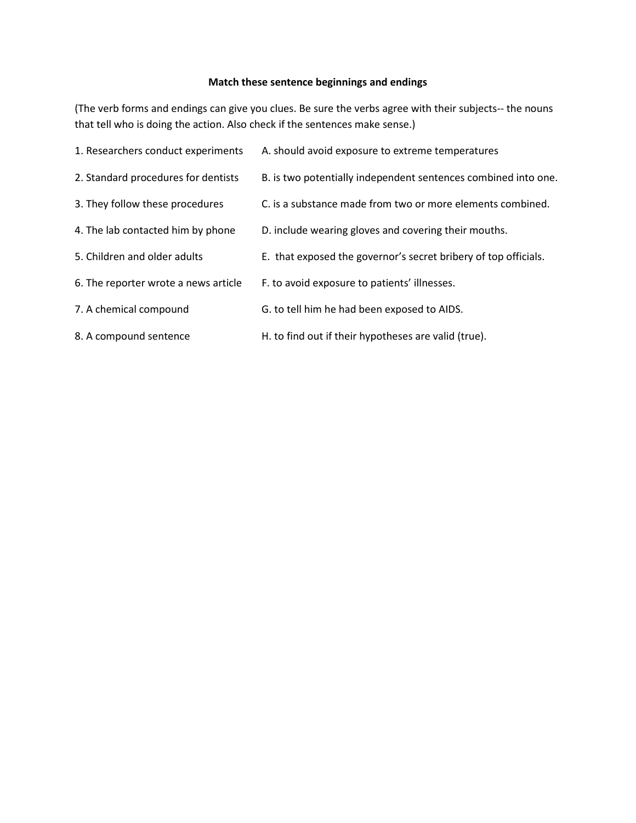# Match these sentence beginnings and endings

(The verb forms and endings can give you clues. Be sure the verbs agree with their subjects-- the nouns that tell who is doing the action. Also check if the sentences make sense.)

| 1. Researchers conduct experiments   | A. should avoid exposure to extreme temperatures                |
|--------------------------------------|-----------------------------------------------------------------|
| 2. Standard procedures for dentists  | B. is two potentially independent sentences combined into one.  |
| 3. They follow these procedures      | C. is a substance made from two or more elements combined.      |
| 4. The lab contacted him by phone    | D. include wearing gloves and covering their mouths.            |
| 5. Children and older adults         | E. that exposed the governor's secret bribery of top officials. |
| 6. The reporter wrote a news article | F. to avoid exposure to patients' illnesses.                    |
| 7. A chemical compound               | G. to tell him he had been exposed to AIDS.                     |
| 8. A compound sentence               | H. to find out if their hypotheses are valid (true).            |